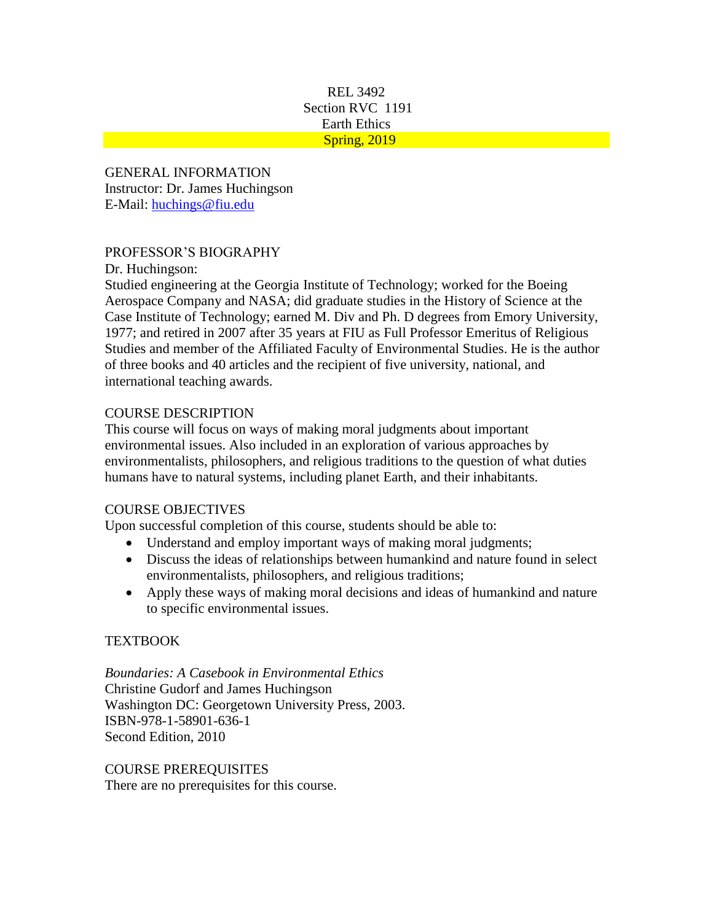#### REL 3492 Section RVC 1191 Earth Ethics Spring, 2019

GENERAL INFORMATION Instructor: Dr. James Huchingson E-Mail: [huchings@fiu.edu](mailto:huchings@fiu.edu)

### PROFESSOR'S BIOGRAPHY

Dr. Huchingson:

Studied engineering at the Georgia Institute of Technology; worked for the Boeing Aerospace Company and NASA; did graduate studies in the History of Science at the Case Institute of Technology; earned M. Div and Ph. D degrees from Emory University, 1977; and retired in 2007 after 35 years at FIU as Full Professor Emeritus of Religious Studies and member of the Affiliated Faculty of Environmental Studies. He is the author of three books and 40 articles and the recipient of five university, national, and international teaching awards.

### COURSE DESCRIPTION

This course will focus on ways of making moral judgments about important environmental issues. Also included in an exploration of various approaches by environmentalists, philosophers, and religious traditions to the question of what duties humans have to natural systems, including planet Earth, and their inhabitants.

### COURSE OBJECTIVES

Upon successful completion of this course, students should be able to:

- Understand and employ important ways of making moral judgments;
- Discuss the ideas of relationships between humankind and nature found in select environmentalists, philosophers, and religious traditions;
- Apply these ways of making moral decisions and ideas of humankind and nature to specific environmental issues.

### **TEXTBOOK**

*Boundaries: A Casebook in Environmental Ethics* Christine Gudorf and James Huchingson Washington DC: Georgetown University Press, 2003. ISBN-978-1-58901-636-1 Second Edition, 2010

COURSE PREREQUISITES There are no prerequisites for this course.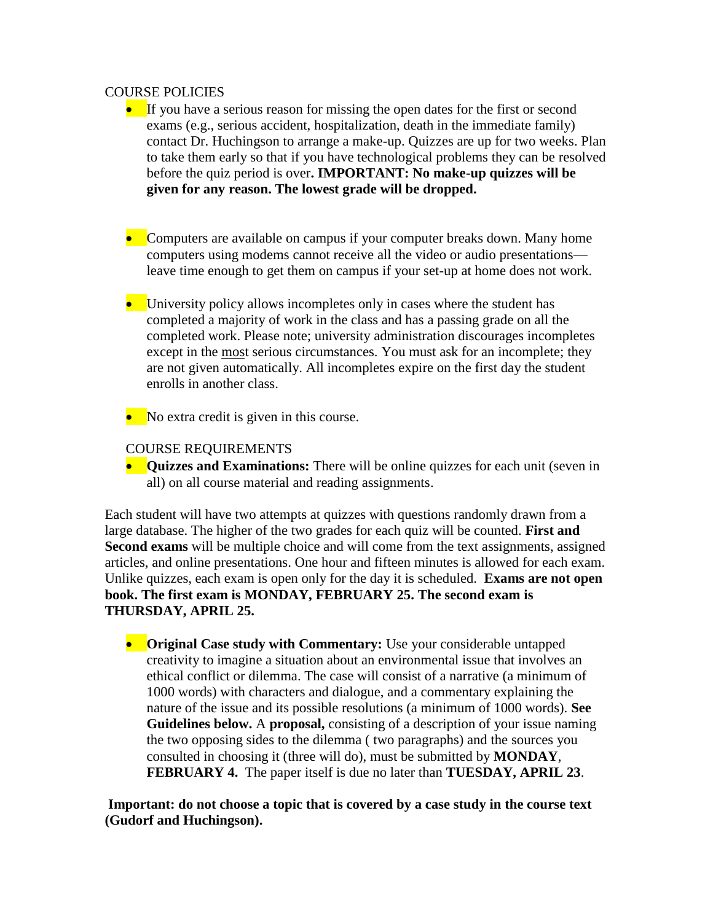#### COURSE POLICIES

- If you have a serious reason for missing the open dates for the first or second exams (e.g., serious accident, hospitalization, death in the immediate family) contact Dr. Huchingson to arrange a make-up. Quizzes are up for two weeks. Plan to take them early so that if you have technological problems they can be resolved before the quiz period is over**. IMPORTANT: No make-up quizzes will be given for any reason. The lowest grade will be dropped.**
- Computers are available on campus if your computer breaks down. Many home computers using modems cannot receive all the video or audio presentations leave time enough to get them on campus if your set-up at home does not work.
- University policy allows incompletes only in cases where the student has completed a majority of work in the class and has a passing grade on all the completed work. Please note; university administration discourages incompletes except in the most serious circumstances. You must ask for an incomplete; they are not given automatically. All incompletes expire on the first day the student enrolls in another class.
- No extra credit is given in this course.

#### COURSE REQUIREMENTS

**•** Quizzes and Examinations: There will be online quizzes for each unit (seven in all) on all course material and reading assignments.

Each student will have two attempts at quizzes with questions randomly drawn from a large database. The higher of the two grades for each quiz will be counted. **First and Second exams** will be multiple choice and will come from the text assignments, assigned articles, and online presentations. One hour and fifteen minutes is allowed for each exam. Unlike quizzes, each exam is open only for the day it is scheduled. **Exams are not open book. The first exam is MONDAY, FEBRUARY 25. The second exam is THURSDAY, APRIL 25.** 

**• Original Case study with Commentary:** Use your considerable untapped creativity to imagine a situation about an environmental issue that involves an ethical conflict or dilemma. The case will consist of a narrative (a minimum of 1000 words) with characters and dialogue, and a commentary explaining the nature of the issue and its possible resolutions (a minimum of 1000 words). **See Guidelines below.** A **proposal,** consisting of a description of your issue naming the two opposing sides to the dilemma ( two paragraphs) and the sources you consulted in choosing it (three will do), must be submitted by **MONDAY**, **FEBRUARY 4.** The paper itself is due no later than **TUESDAY, APRIL 23**.

**Important: do not choose a topic that is covered by a case study in the course text (Gudorf and Huchingson).**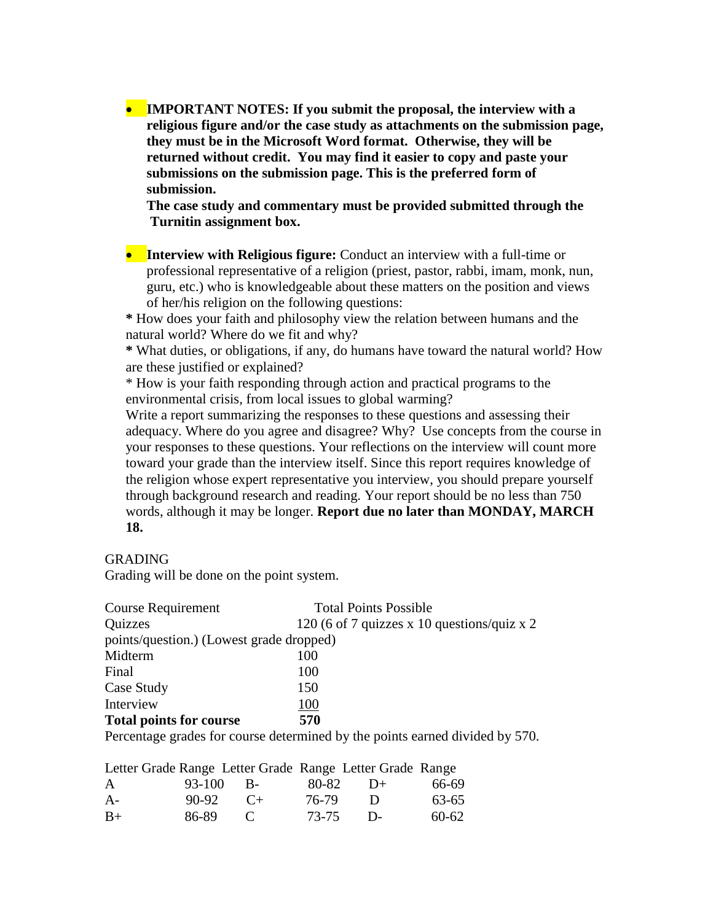• **IMPORTANT NOTES: If you submit the proposal, the interview with a religious figure and/or the case study as attachments on the submission page, they must be in the Microsoft Word format. Otherwise, they will be returned without credit. You may find it easier to copy and paste your submissions on the submission page. This is the preferred form of submission.**

 **The case study and commentary must be provided submitted through the Turnitin assignment box.**

• **Interview with Religious figure:** Conduct an interview with a full-time or professional representative of a religion (priest, pastor, rabbi, imam, monk, nun, guru, etc.) who is knowledgeable about these matters on the position and views of her/his religion on the following questions:

**\*** How does your faith and philosophy view the relation between humans and the natural world? Where do we fit and why?

**\*** What duties, or obligations, if any, do humans have toward the natural world? How are these justified or explained?

\* How is your faith responding through action and practical programs to the environmental crisis, from local issues to global warming?

Write a report summarizing the responses to these questions and assessing their adequacy. Where do you agree and disagree? Why? Use concepts from the course in your responses to these questions. Your reflections on the interview will count more toward your grade than the interview itself. Since this report requires knowledge of the religion whose expert representative you interview, you should prepare yourself through background research and reading. Your report should be no less than 750 words, although it may be longer. **Report due no later than MONDAY, MARCH 18.**

#### **GRADING**

Grading will be done on the point system.

| <b>Course Requirement</b>                | <b>Total Points Possible</b>                |  |  |  |  |
|------------------------------------------|---------------------------------------------|--|--|--|--|
| <b>Quizzes</b>                           | 120 (6 of 7 quizzes x 10 questions/quiz x 2 |  |  |  |  |
| points/question.) (Lowest grade dropped) |                                             |  |  |  |  |
| Midterm                                  | 100                                         |  |  |  |  |
| Final                                    | 100                                         |  |  |  |  |
| Case Study                               | 150                                         |  |  |  |  |
| Interview                                | 100                                         |  |  |  |  |
| <b>Total points for course</b>           | 570                                         |  |  |  |  |

Percentage grades for course determined by the points earned divided by 570.

|      |       |              |       | Letter Grade Range Letter Grade Range Letter Grade Range |           |
|------|-------|--------------|-------|----------------------------------------------------------|-----------|
| A    |       | 93-100 B-    | 80-82 | $\Box$                                                   | 66-69     |
| $A-$ | 90-92 | $($ $+$      | 76-79 | $\blacksquare$                                           | 63-65     |
| $B+$ | 86-89 | $\mathbf{C}$ | 73-75 | $\mathsf{D}$                                             | $60 - 62$ |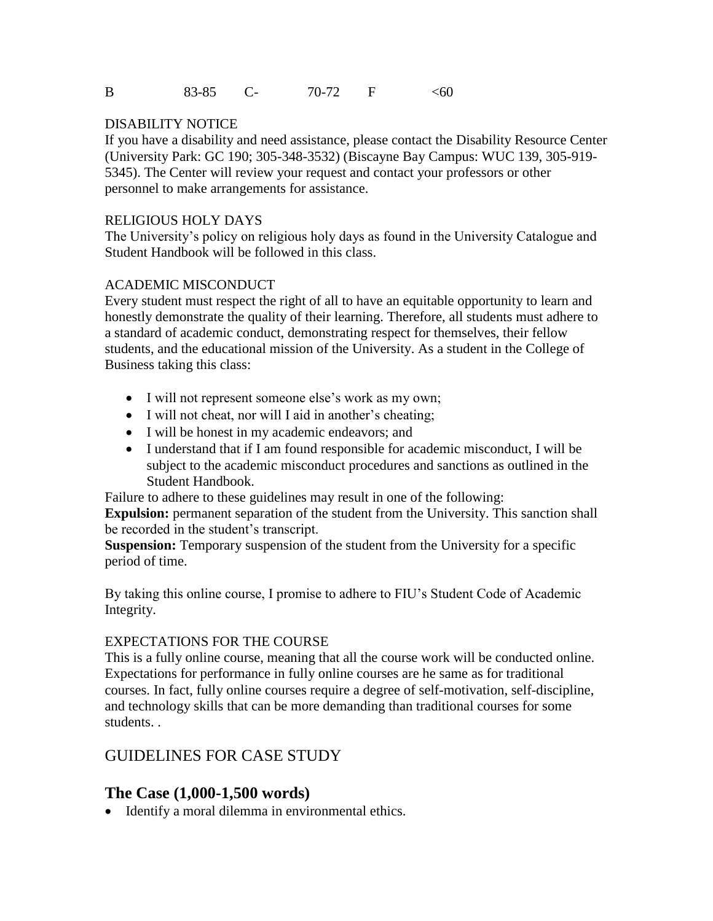#### DISABILITY NOTICE

If you have a disability and need assistance, please contact the Disability Resource Center (University Park: GC 190; 305-348-3532) (Biscayne Bay Campus: WUC 139, 305-919- 5345). The Center will review your request and contact your professors or other personnel to make arrangements for assistance.

#### RELIGIOUS HOLY DAYS

The University's policy on religious holy days as found in the University Catalogue and Student Handbook will be followed in this class.

### ACADEMIC MISCONDUCT

Every student must respect the right of all to have an equitable opportunity to learn and honestly demonstrate the quality of their learning. Therefore, all students must adhere to a standard of academic conduct, demonstrating respect for themselves, their fellow students, and the educational mission of the University. As a student in the College of Business taking this class:

- I will not represent someone else's work as my own;
- I will not cheat, nor will I aid in another's cheating;
- I will be honest in my academic endeavors; and
- I understand that if I am found responsible for academic misconduct, I will be subject to the academic misconduct procedures and sanctions as outlined in the Student Handbook.

Failure to adhere to these guidelines may result in one of the following:

**Expulsion:** permanent separation of the student from the University. This sanction shall be recorded in the student's transcript.

**Suspension:** Temporary suspension of the student from the University for a specific period of time.

By taking this online course, I promise to adhere to FIU's Student Code of Academic Integrity.

#### EXPECTATIONS FOR THE COURSE

This is a fully online course, meaning that all the course work will be conducted online. Expectations for performance in fully online courses are he same as for traditional courses. In fact, fully online courses require a degree of self-motivation, self-discipline, and technology skills that can be more demanding than traditional courses for some students. .

# GUIDELINES FOR CASE STUDY

# **The Case (1,000-1,500 words)**

• Identify a moral dilemma in environmental ethics.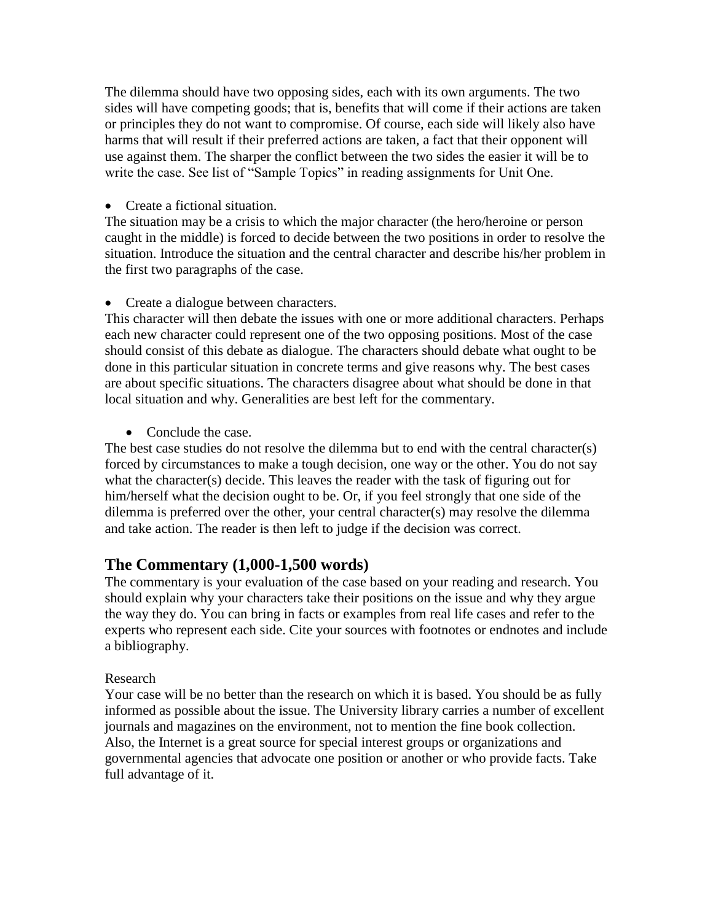The dilemma should have two opposing sides, each with its own arguments. The two sides will have competing goods; that is, benefits that will come if their actions are taken or principles they do not want to compromise. Of course, each side will likely also have harms that will result if their preferred actions are taken, a fact that their opponent will use against them. The sharper the conflict between the two sides the easier it will be to write the case. See list of "Sample Topics" in reading assignments for Unit One.

• Create a fictional situation.

The situation may be a crisis to which the major character (the hero/heroine or person caught in the middle) is forced to decide between the two positions in order to resolve the situation. Introduce the situation and the central character and describe his/her problem in the first two paragraphs of the case.

• Create a dialogue between characters.

This character will then debate the issues with one or more additional characters. Perhaps each new character could represent one of the two opposing positions. Most of the case should consist of this debate as dialogue. The characters should debate what ought to be done in this particular situation in concrete terms and give reasons why. The best cases are about specific situations. The characters disagree about what should be done in that local situation and why. Generalities are best left for the commentary.

• Conclude the case.

The best case studies do not resolve the dilemma but to end with the central character(s) forced by circumstances to make a tough decision, one way or the other. You do not say what the character(s) decide. This leaves the reader with the task of figuring out for him/herself what the decision ought to be. Or, if you feel strongly that one side of the dilemma is preferred over the other, your central character(s) may resolve the dilemma and take action. The reader is then left to judge if the decision was correct.

# **The Commentary (1,000-1,500 words)**

The commentary is your evaluation of the case based on your reading and research. You should explain why your characters take their positions on the issue and why they argue the way they do. You can bring in facts or examples from real life cases and refer to the experts who represent each side. Cite your sources with footnotes or endnotes and include a bibliography.

### Research

Your case will be no better than the research on which it is based. You should be as fully informed as possible about the issue. The University library carries a number of excellent journals and magazines on the environment, not to mention the fine book collection. Also, the Internet is a great source for special interest groups or organizations and governmental agencies that advocate one position or another or who provide facts. Take full advantage of it.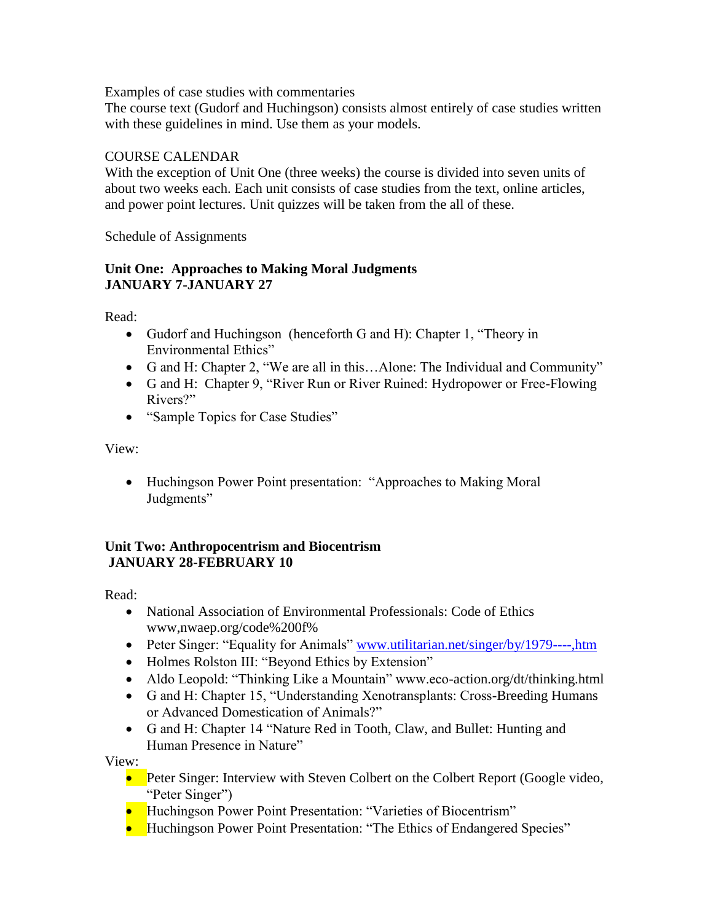Examples of case studies with commentaries

The course text (Gudorf and Huchingson) consists almost entirely of case studies written with these guidelines in mind. Use them as your models.

### COURSE CALENDAR

With the exception of Unit One (three weeks) the course is divided into seven units of about two weeks each. Each unit consists of case studies from the text, online articles, and power point lectures. Unit quizzes will be taken from the all of these.

Schedule of Assignments

## **Unit One: Approaches to Making Moral Judgments JANUARY 7-JANUARY 27**

Read:

- Gudorf and Huchingson (henceforth G and H): Chapter 1, "Theory in Environmental Ethics"
- G and H: Chapter 2, "We are all in this...Alone: The Individual and Community"
- G and H: Chapter 9, "River Run or River Ruined: Hydropower or Free-Flowing Rivers?"
- "Sample Topics for Case Studies"

View:

• Huchingson Power Point presentation: "Approaches to Making Moral Judgments"

### **Unit Two: Anthropocentrism and Biocentrism JANUARY 28-FEBRUARY 10**

Read:

- National Association of Environmental Professionals: Code of Ethics www,nwaep.org/code%200f%
- Peter Singer: "Equality for Animals" [www.utilitarian.net/singer/by/1979----,htm](http://www.utilitarian.net/singer/by/1979----,htm)
- Holmes Rolston III: "Beyond Ethics by Extension"
- Aldo Leopold: "Thinking Like a Mountain" www.eco-action.org/dt/thinking.html
- G and H: Chapter 15, "Understanding Xenotransplants: Cross-Breeding Humans or Advanced Domestication of Animals?"
- G and H: Chapter 14 "Nature Red in Tooth, Claw, and Bullet: Hunting and Human Presence in Nature"

View:

- Peter Singer: Interview with Steven Colbert on the Colbert Report (Google video, "Peter Singer")
- Huchingson Power Point Presentation: "Varieties of Biocentrism"
- Huchingson Power Point Presentation: "The Ethics of Endangered Species"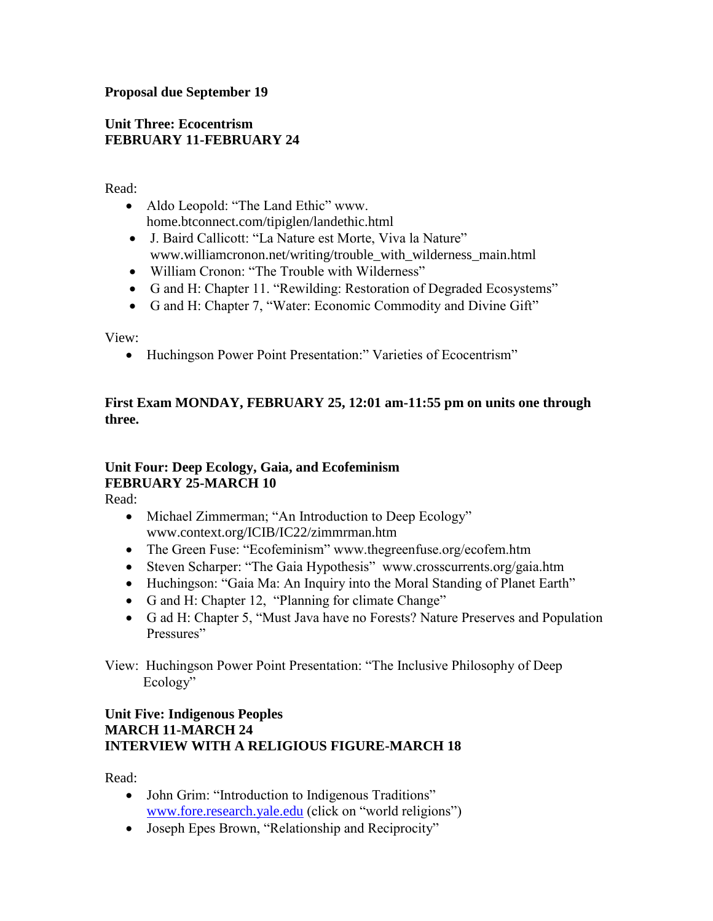### **Proposal due September 19**

### **Unit Three: Ecocentrism FEBRUARY 11-FEBRUARY 24**

Read:

- Aldo Leopold: "The Land Ethic" www. home.btconnect.com/tipiglen/landethic.html
- J. Baird Callicott: "La Nature est Morte, Viva la Nature" www.williamcronon.net/writing/trouble\_with\_wilderness\_main.html
- William Cronon: "The Trouble with Wilderness"
- G and H: Chapter 11. "Rewilding: Restoration of Degraded Ecosystems"
- G and H: Chapter 7, "Water: Economic Commodity and Divine Gift"

View:

• Huchingson Power Point Presentation:" Varieties of Ecocentrism"

### **First Exam MONDAY, FEBRUARY 25, 12:01 am-11:55 pm on units one through three.**

# **Unit Four: Deep Ecology, Gaia, and Ecofeminism FEBRUARY 25-MARCH 10**

Read:

- Michael Zimmerman; "An Introduction to Deep Ecology" www.context.org/ICIB/IC22/zimmrman.htm
- The Green Fuse: "Ecofeminism" www.thegreenfuse.org/ecofem.htm
- Steven Scharper: "The Gaia Hypothesis" www.crosscurrents.org/gaia.htm
- Huchingson: "Gaia Ma: An Inquiry into the Moral Standing of Planet Earth"
- G and H: Chapter 12, "Planning for climate Change"
- G ad H: Chapter 5, "Must Java have no Forests? Nature Preserves and Population Pressures"

View: Huchingson Power Point Presentation: "The Inclusive Philosophy of Deep Ecology"

### **Unit Five: Indigenous Peoples MARCH 11-MARCH 24 INTERVIEW WITH A RELIGIOUS FIGURE-MARCH 18**

Read:

- John Grim: "Introduction to Indigenous Traditions" [www.fore.research.yale.edu](http://www.fore.research.yale.edu/) (click on "world religions")
- Joseph Epes Brown, "Relationship and Reciprocity"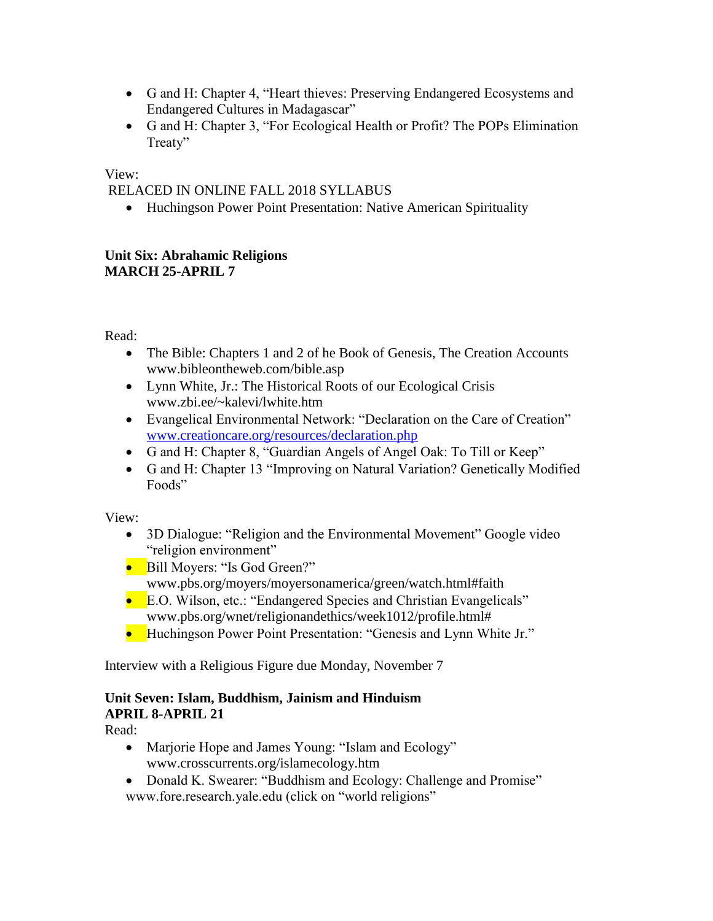- G and H: Chapter 4, "Heart thieves: Preserving Endangered Ecosystems and Endangered Cultures in Madagascar"
- G and H: Chapter 3, "For Ecological Health or Profit? The POPs Elimination Treaty"

View:

RELACED IN ONLINE FALL 2018 SYLLABUS

• Huchingson Power Point Presentation: Native American Spirituality

### **Unit Six: Abrahamic Religions MARCH 25-APRIL 7**

Read:

- The Bible: Chapters 1 and 2 of he Book of Genesis, The Creation Accounts www.bibleontheweb.com/bible.asp
- Lynn White, Jr.: The Historical Roots of our Ecological Crisis www.zbi.ee/~kalevi/lwhite.htm
- Evangelical Environmental Network: "Declaration on the Care of Creation" [www.creationcare.org/resources/declaration.php](http://www.creationcare.org/resources/declaration.php)
- G and H: Chapter 8, "Guardian Angels of Angel Oak: To Till or Keep"
- G and H: Chapter 13 "Improving on Natural Variation? Genetically Modified Foods"

View:

- 3D Dialogue: "Religion and the Environmental Movement" Google video "religion environment"
- Bill Moyers: "Is God Green?" www.pbs.org/moyers/moyersonamerica/green/watch.html#faith
- E.O. Wilson, etc.: "Endangered Species and Christian Evangelicals" www.pbs.org/wnet/religionandethics/week1012/profile.html#
- Huchingson Power Point Presentation: "Genesis and Lynn White Jr."

Interview with a Religious Figure due Monday, November 7

# **Unit Seven: Islam, Buddhism, Jainism and Hinduism APRIL 8-APRIL 21**

Read:

- Marjorie Hope and James Young: "Islam and Ecology" www.crosscurrents.org/islamecology.htm
- Donald K. Swearer: "Buddhism and Ecology: Challenge and Promise" www.fore.research.yale.edu (click on "world religions"